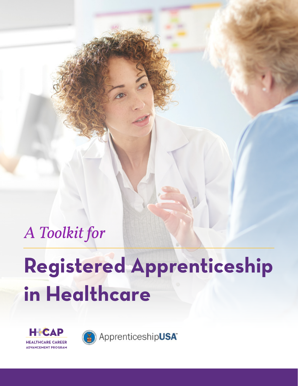# *A Toolkit for*

# **Registered Apprenticeship in Healthcare**





Apprenticeship**USA**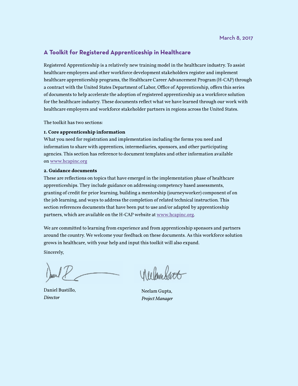#### **A Toolkit for Registered Apprenticeship in Healthcare**

Registered Apprenticeship is a relatively new training model in the healthcare industry. To assist healthcare employers and other workforce development stakeholders register and implement healthcare apprenticeship programs, the Healthcare Career Advancement Program (H-CAP) through a contract with the United States Department of Labor, Office of Apprenticeship, offers this series of documents to help accelerate the adoption of registered apprenticeship as a workforce solution for the healthcare industry. These documents reflect what we have learned through our work with healthcare employers and workforce stakeholder partners in regions across the United States.

The toolkit has two sections:

#### **1. Core apprenticeship information**

What you need for registration and implementation including the forms you need and information to share with apprentices, intermediaries, sponsors, and other participating agencies. This section has reference to document templates and other information available on www.hcapinc.org

#### **2. Guidance documents**

These are reflections on topics that have emerged in the implementation phase of healthcare apprenticeships. They include guidance on addressing competency based assessments, granting of credit for prior learning, building a mentorship (journeyworker) component of on the job learning, and ways to address the completion of related technical instruction. This section references documents that have been put to use and/or adapted by apprenticeship partners, which are available on the H-CAP website at [www.hcapinc.org](http://www.hcapinc.org).

We are committed to learning from experience and from apprenticeship sponsors and partners around the country. We welcome your feedback on these documents. As this workforce solution grows in healthcare, with your help and input this toolkit will also expand.

Sincerely,

Daniel Bustillo, *Director* 

Neelam Gupta, *Project Manager*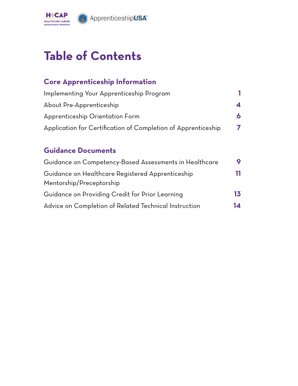

# **Table of Contents**

### **Core Apprenticeship Information**

| Implementing Your Apprenticeship Program                      |  |
|---------------------------------------------------------------|--|
| About Pre-Apprenticeship                                      |  |
| Apprenticeship Orientation Form                               |  |
| Application for Certification of Completion of Apprenticeship |  |

### **Guidance Documents**

| Guidance on Competency-Based Assessments in Healthcare                       |    |
|------------------------------------------------------------------------------|----|
| Guidance on Healthcare Registered Apprenticeship<br>Mentorship/Preceptorship |    |
| Guidance on Providing Credit for Prior Learning                              | 13 |
| Advice on Completion of Related Technical Instruction                        | 14 |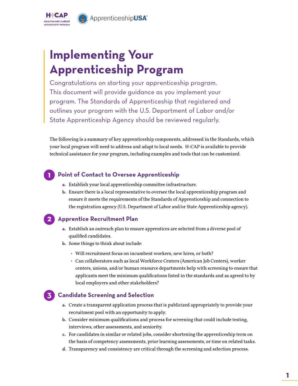

# **Implementing Your Apprenticeship Program**

Congratulations on starting your apprenticeship program. This document will provide guidance as you implement your program. The Standards of Apprenticeship that registered and outlines your program with the U.S. Department of Labor and/or State Apprenticeship Agency should be reviewed regularly.

The following is a summary of key apprenticeship components, addressed in the Standards, which your local program will need to address and adapt to local needs. H-CAP is available to provide technical assistance for your program, including examples and tools that can be customized.

### **1**

### **Point of Contact to Oversee Apprenticeship**

- **a.** Establish your local apprenticeship committee infrastructure.
- **b.** Ensure there is a local representative to oversee the local apprenticeship program and ensure it meets the requirements of the Standards of Apprenticeship and connection to the registration agency (U.S. Department of Labor and/or State Apprenticeship agency).

### **2**

### **Apprentice Recruitment Plan**

- **a.** Establish an outreach plan to ensure apprentices are selected from a diverse pool of qualified candidates.
- **b.** Some things to think about include:
	- Will recruitment focus on incumbent workers, new hires, or both?
	- Can collaborators such as local Workforce Centers (American Job Centers), worker centers, unions, and/or human resource departments help with screening to ensure that applicants meet the minimum qualifications listed in the standards and as agreed to by local employers and other stakeholders?



### **Candidate Screening and Selection**

- **a.** Create a transparent application process that is publicized appropriately to provide your recruitment pool with an opportunity to apply.
- **b.** Consider minimum qualifications and process for screening that could include testing, interviews, other assessments, and seniority.
- **c.** For candidates in similar or related jobs, consider shortening the apprenticeship term on the basis of competency assessments, prior learning assessments, or time on related tasks.
- **d.** Transparency and consistency are critical through the screening and selection process.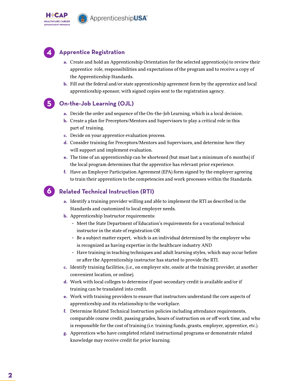



**5**

**6**

### **Apprentice Registration**

- **a.** Create and hold an Apprenticeship Orientation for the selected apprentice(s) to review their apprentice role, responsibilities and expectations of the program and to receive a copy of the Apprenticeship Standards.
- **b.** Fill out the federal and/or state apprenticeship agreement form by the apprentice and local apprenticeship sponsor, with signed copies sent to the registration agency.

### **On-the-Job Learning (OJL)**

- **a.** Decide the order and sequence of the On-the-Job Learning, which is a local decision.
- **b.** Create a plan for Preceptors/Mentors and Supervisors to play a critical role in this part of training.
- **c.** Decide on your apprentice evaluation process.
- **d.** Consider training for Preceptors/Mentors and Supervisors, and determine how they will support and implement evaluation.
- **e.** The time of an apprenticeship can be shortened (but must last a minimum of 6 months) if the local program determines that the apprentice has relevant prior experience.
- **f.** Have an Employer Participation Agreement (EPA) form signed by the employer agreeing to train their apprentices to the competencies and work processes within the Standards.

### **Related Technical Instruction (RTI)**

- **a.** Identify a training provider willing and able to implement the RTI as described in the Standards and customized to local employer needs.
- **b.** Apprenticeship Instructor requirements:
	- Meet the State Department of Education's requirements for a vocational technical instructor in the state of registration OR
	- Be a subject matter expert, which is an individual determined by the employer who is recognized as having expertise in the healthcare industry AND
	- Have training in teaching techniques and adult learning styles, which may occur before or after the Apprenticeship instructor has started to provide the RTI.
- **c.** Identify training facilities, (i.e., on employer site, onsite at the training provider, at another convenient location, or online).
- **d.** Work with local colleges to determine if post-secondary credit is available and/or if training can be translated into credit.
- **e.** Work with training providers to ensure that instructors understand the core aspects of apprenticeship and its relationship to the workplace.
- **f.** Determine Related Technical Instruction policies including attendance requirements, comparable course credit, passing grades, hours of instruction on or off work time, and who is responsible for the cost of training (i.e. training funds, grants, employer, apprentice, etc.).
- **g.** Apprentices who have completed related instructional programs or demonstrate related knowledge may receive credit for prior learning.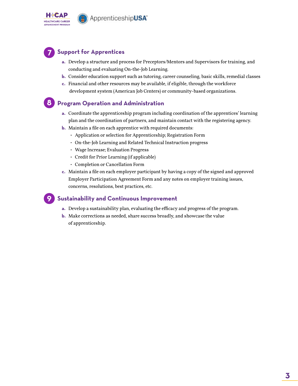

### **Support for Apprentices**

**7**

**9**

- **a.** Develop a structure and process for Preceptors/Mentors and Supervisors for training, and conducting and evaluating On-the-Job Learning.
- **b.** Consider education support such as tutoring, career counseling, basic skills, remedial classes
- **c.** Financial and other resources may be available, if eligible, through the workforce development system (American Job Centers) or community-based organizations.

### **Program Operation and Administration 8**

- **a.** Coordinate the apprenticeship program including coordination of the apprentices' learning plan and the coordination of partners, and maintain contact with the registering agency.
- **b.** Maintain a file on each apprentice with required documents:
	- Application or selection for Apprenticeship; Registration Form
	- On-the-Job Learning and Related Technical Instruction progress
	- Wage Increase; Evaluation Progress
	- Credit for Prior Learning (if applicable)
	- Completion or Cancellation Form
- **c.** Maintain a file on each employer participant by having a copy of the signed and approved Employer Participation Agreement Form and any notes on employer training issues, concerns, resolutions, best practices, etc.

#### **Sustainability and Continuous Improvement**

- **a.** Develop a sustainability plan, evaluating the efficacy and progress of the program.
- **b.** Make corrections as needed, share success broadly, and showcase the value of apprenticeship.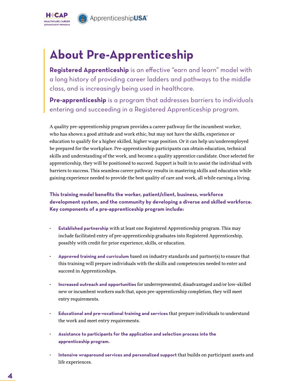

## **About Pre-Apprenticeship**

**Registered Apprenticeship** is an effective "earn and learn" model with a long history of providing career ladders and pathways to the middle class, and is increasingly being used in healthcare.

**Pre-apprenticeship** is a program that addresses barriers to individuals entering and succeeding in a Registered Apprenticeship program.

A quality pre-apprenticeship program provides a career pathway for the incumbent worker, who has shown a good attitude and work ethic, but may not have the skills, experience or education to qualify for a higher skilled, higher wage position. Or it can help un/underemployed be prepared for the workplace. Pre-apprenticeship participants can obtain education, technical skills and understanding of the work, and become a quality apprentice candidate. Once selected for apprenticeship, they will be positioned to succeed. Support is built in to assist the individual with barriers to success. This seamless career pathway results in mastering skills and education while gaining experience needed to provide the best quality of care and work, all while earning a living.

**This training model benefits the worker, patient/client, business, workforce development system, and the community by developing a diverse and skilled workforce. Key components of a pre-apprenticeship program include:** 

- **Established partnership** with at least one Registered Apprenticeship program. This may include facilitated entry of pre-apprenticeship graduates into Registered Apprenticeship, possibly with credit for prior experience, skills, or education.
- **Approved training and curriculum** based on industry standards and partner(s) to ensure that this training will prepare individuals with the skills and competencies needed to enter and succeed in Apprenticeships.
- **Increased outreach and opportunities** for underrepresented, disadvantaged and/or low-skilled new or incumbent workers such that, upon pre-apprenticeship completion, they will meet entry requirements.
- **Educational and pre-vocational training and services** that prepare individuals to understand the work and meet entry requirements.
- **Assistance to participants for the application and selection process into the apprenticeship program.**
- **Intensive wraparound services and personalized support** that builds on participant assets and life experiences.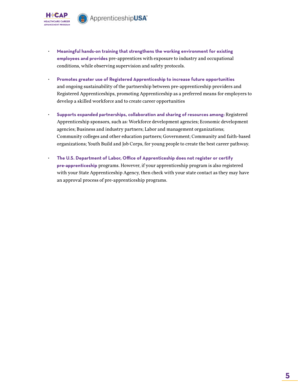

- **Meaningful hands-on training that strengthens the working environment for existing employees and provides** pre-apprentices with exposure to industry and occupational conditions, while observing supervision and safety protocols.
- **Promotes greater use of Registered Apprenticeship to increase future opportunities** and ongoing sustainability of the partnership between pre-apprenticeship providers and Registered Apprenticeships, promoting Apprenticeship as a preferred means for employers to develop a skilled workforce and to create career opportunities
- **Supports expanded partnerships, collaboration and sharing of resources among:** Registered Apprenticeship sponsors, such as: Workforce development agencies; Economic development agencies; Business and industry partners; Labor and management organizations; Community colleges and other education partners; Government; Community and faith-based organizations; Youth Build and Job Corps, for young people to create the best career pathway.
- **The U.S. Department of Labor, Office of Apprenticeship does not register or certify pre-apprenticeship** programs. However, if your apprenticeship program is also registered with your State Apprenticeship Agency, then check with your state contact as they may have an approval process of pre-apprenticeship programs.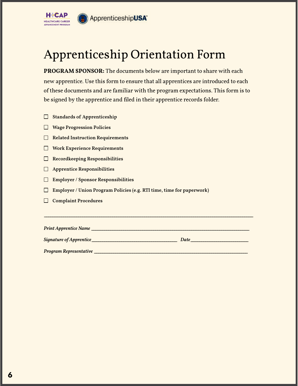

# Apprenticeship Orientation Form

**PROGRAM SPONSOR:** The documents below are important to share with each new apprentice. Use this form to ensure that all apprentices are introduced to each of these documents and are familiar with the program expectations. This form is to be signed by the apprentice and filed in their apprentice records folder.

- $\Box$  Standards of Apprenticeship
- Wage Progression Policies
- $\Box$  Related Instruction Requirements
- **Nork Experience Requirements**
- $\Box$  Recordkeeping Responsibilities
- $\Box$  Apprentice Responsibilities
- Employer / Sponsor Responsibilities
- Employer / Union Program Policies (e.g. RTI time, time for paperwork)
- Complaint Procedures

*Print Apprentice Name* **\_\_\_\_\_\_\_\_\_\_\_\_\_\_\_\_\_\_\_\_\_\_\_\_\_\_\_\_\_\_\_\_\_\_\_\_\_\_\_\_\_\_\_\_\_\_\_\_\_\_\_\_\_\_\_\_\_\_\_\_\_\_\_\_\_\_\_\_\_\_\_\_\_\_** *Signature of Apprentice***\_\_\_\_\_\_\_\_\_\_\_\_\_\_\_\_\_\_\_\_\_\_\_\_\_\_\_\_\_\_\_\_\_\_\_\_\_\_\_\_** *Date***\_\_\_\_\_\_\_\_\_\_\_\_\_\_\_\_\_\_\_\_\_\_\_\_\_\_\_**

**\_\_\_\_\_\_\_\_\_\_\_\_\_\_\_\_\_\_\_\_\_\_\_\_\_\_\_\_\_\_\_\_\_\_\_\_\_\_\_\_\_\_\_\_\_\_\_\_\_\_\_\_\_\_\_\_\_\_\_\_\_\_\_\_\_\_\_\_\_\_\_\_\_\_\_\_\_\_\_\_\_\_\_\_\_\_\_\_\_\_\_\_\_\_\_\_\_\_**

*Program Representative* **\_\_\_\_\_\_\_\_\_\_\_\_\_\_\_\_\_\_\_\_\_\_\_\_\_\_\_\_\_\_\_\_\_\_\_\_\_\_\_\_\_\_\_\_\_\_\_\_\_\_\_\_\_\_\_\_\_\_\_\_\_\_\_\_\_\_\_\_\_\_\_\_**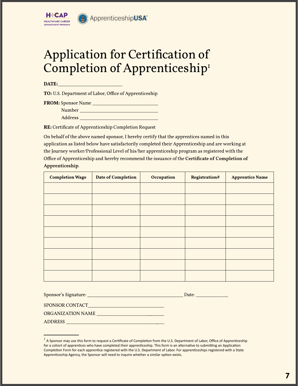# Application for Certification of Completion of Apprenticeship<sup>1</sup>

**DATE:** 

H-CAF

HEALTHCARE CAREER ADVANCEMENT PROGRAM

**TO:** U.S. Department of Labor, Office of Apprenticeship

**FROM:** Sponsor Name \_\_\_\_\_\_\_\_\_\_\_\_\_\_\_\_\_\_\_\_\_\_\_\_\_\_\_\_\_\_\_\_\_

Number \_\_\_\_\_\_\_\_\_\_\_\_\_\_\_\_\_\_\_\_\_\_\_\_\_\_\_\_\_\_\_\_\_\_\_\_\_\_\_ Address \_\_\_\_\_\_\_\_\_\_\_\_\_\_\_\_\_\_\_\_\_\_\_\_\_\_\_\_\_\_\_\_\_\_\_\_\_\_\_

**RE:** Certificate of Apprenticeship Completion Request

On behalf of the above named sponsor, I hereby certify that the apprentices named in this application as listed below have satisfactorily completed their Apprenticeship and are working at the Journey worker/Professional Level of his/her apprenticeship program as registered with the Office of Apprenticeship and hereby recommend the issuance of the Certificate of Completion of Apprenticeship.

| <b>Completion Wage</b> | <b>Date of Completion</b> | Occupation | Registration# | <b>Apprentice Name</b> |
|------------------------|---------------------------|------------|---------------|------------------------|
|                        |                           |            |               |                        |
|                        |                           |            |               |                        |
|                        |                           |            |               |                        |
|                        |                           |            |               |                        |
|                        |                           |            |               |                        |
|                        |                           |            |               |                        |
|                        |                           |            |               |                        |
|                        |                           |            |               |                        |
|                        |                           |            |               |                        |

| Sponsor's Signature: | Date: |
|----------------------|-------|
| SPONSOR CONTACT      |       |

ORGANIZATION NAME

ADDRESS \_\_\_\_\_\_\_\_\_\_\_\_\_\_\_\_\_\_\_\_\_\_\_\_\_\_\_\_\_\_\_\_\_\_\_\_\_\_\_\_\_\_\_\_\_\_\_\_\_\_

<sup>&</sup>lt;sup>1</sup> A Sponsor may use this form to request a Certificate of Completion from the U.S. Department of Labor, Office of Apprenticeship for a cohort of apprentices who have completed their apprenticeship. This form is an alternative to submitting an Application Completion Form for each apprentice registered with the U.S. Department of Labor. For apprenticeships registered with a State Apprenticeship Agency, the Sponsor will need to inquire whether a similar option exists.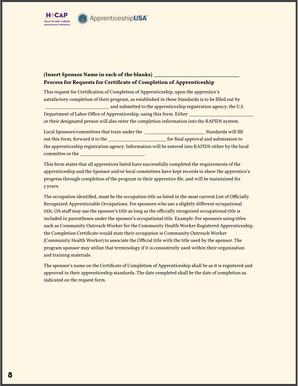

### **ADVANCEMENT PROGRA**

HEALTHCARE CAREER

#### **(Insert Sponsor Name in each of the blanks) \_\_\_\_\_\_\_\_\_\_\_\_\_\_\_\_\_\_\_\_\_\_\_\_\_\_\_\_\_\_\_\_\_\_\_\_\_ Process for Requests for Certificate of Completion of Apprenticeship**

This request for Certification of Completion of Apprenticeship, upon the apprentice's satisfactory completion of their program, as established in these Standards is to be filled out by \_ and submitted to the apprenticeship registration agency, the U.S. Department of Labor Office of Apprenticeship, using this form. Either or their designated person will also enter the completion information into the RAPIDS system.

Local Sponsors/committees that train under the the trains of the standards will fill out this form, forward it to the \_\_\_\_\_\_\_\_\_\_\_\_\_\_\_\_\_\_\_\_\_\_\_\_\_\_\_\_\_ for final approval and submission to the apprenticeship registration agency. Information will be entered into RAPIDS either by the local committee or the

This form states that all apprentices listed have successfully completed the requirements of the apprenticeship and the Sponsor and/or local committees have kept records to show the apprentice's progress through completion of the program in their apprentice file, and will be maintained for 5 years.

The occupation identified, must be the occupation title as listed in the most current List of Officially Recognized Apprenticeable Occupations. For sponsors who use a slightly different occupational title, OA staff may use the sponsor's title as long as the officially recognized occupational title is included in parentheses under the sponsor's occupational title. Example: For sponsors using titles such as Community Outreach Worker for the Community Health Worker Registered Apprenticeship, the Completion Certificate would state their occupation is Community Outreach Worker (Community Health Worker) to associate the Official title with the title used by the sponsor. The program sponsor may utilize that terminology if it is consistently used within their organization and training materials.

The sponsor's name on the Certificate of Completion of Apprenticeship shall be as it is registered and approved in their apprenticeship standards. The date completed shall be the date of completion as indicated on the request form.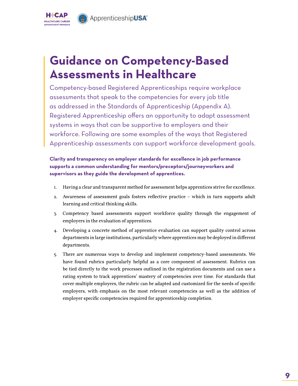**HEALTHCARE CAREER** 

# **Guidance on Competency-Based Assessments in Healthcare**

Competency-based Registered Apprenticeships require workplace assessments that speak to the competencies for every job title as addressed in the Standards of Apprenticeship (Appendix A). Registered Apprenticeship offers an opportunity to adapt assessment systems in ways that can be supportive to employers and their workforce. Following are some examples of the ways that Registered Apprenticeship assessments can support workforce development goals.

### **Clarity and transparency on employer standards for excellence in job performance supports a common understanding for mentors/preceptors/journeyworkers and supervisors as they guide the development of apprentices.**

- 1. Having a clear and transparent method for assessment helps apprentices strive for excellence.
- 2. Awareness of assessment goals fosters reflective practice which in turn supports adult learning and critical thinking skills.
- 3. Competency based assessments support workforce quality through the engagement of employers in the evaluation of apprentices.
- 4. Developing a concrete method of apprentice evaluation can support quality control across departments in large institutions, particularly where apprentices may be deployed in different departments.
- 5. There are numerous ways to develop and implement competency-based assessments. We have found rubrics particularly helpful as a core component of assessment. Rubrics can be tied directly to the work processes outlined in the registration documents and can use a rating system to track apprentices' mastery of competencies over time. For standards that cover multiple employers, the rubric can be adapted and customized for the needs of specific employers, with emphasis on the most relevant competencies as well as the addition of employer specific competencies required for apprenticeship completion.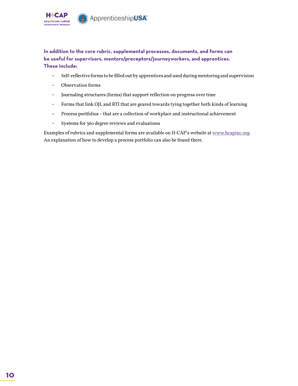

**In addition to the core rubric, supplemental processes, documents, and forms can be useful for supervisors, mentors/preceptors/journeyworkers, and apprentices. These include:** 

- Self-reflective forms to be filled out by apprentices and used during mentoring and supervision
- Observation forms
- Journaling structures (forms) that support reflection on progress over time
- Forms that link OJL and RTI that are geared towards tying together both kinds of learning
- Process portfolios that are a collection of workplace and instructional achievement
- Systems for 360 degree reviews and evaluations

Examples of rubrics and supplemental forms are available on H-CAP's website at [www.hcapinc.org.](http://www.hcapinc.org) An explanation of how to develop a process portfolio can also be found there.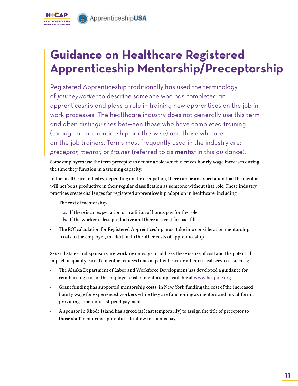# **Guidance on Healthcare Registered Apprenticeship Mentorship/Preceptorship**

Registered Apprenticeship traditionally has used the terminology of *journeyworker* to describe someone who has completed an apprenticeship and plays a role in training new apprentices on the job in work processes. The healthcare industry does not generally use this term and often distinguishes between those who have completed training (through an apprenticeship or otherwise) and those who are on-the-job trainers. Terms most frequently used in the industry are: *preceptor, mentor,* or *trainer* (referred to as *mentor* in this guidance).

Some employers use the term preceptor to denote a role which receives hourly wage increases during the time they function in a training capacity.

In the healthcare industry, depending on the occupation, there can be an expectation that the mentor will not be as productive in their regular classification as someone without that role. These industry practices create challenges for registered apprenticeship adoption in healthcare, including:

The cost of mentorship

**HEALTHCARE CAREER** 

- **a.** If there is an expectation or tradition of bonus pay for the role
- **b.** If the worker is less productive and there is a cost for backfill
- The ROI calculation for Registered Apprenticeship must take into consideration mentorship costs to the employer, in addition to the other costs of apprenticeship

Several States and Sponsors are working on ways to address these issues of cost and the potential impact on quality care if a mentor reduces time on patient care or other critical services, such as;

- The Alaska Department of Labor and Workforce Development has developed a guidance for reimbursing part of the employer cost of mentorship available at [www.hcapinc.org.](http://www.hcapinc.org)
- Grant funding has supported mentorship costs, in New York funding the cost of the increased hourly wage for experienced workers while they are functioning as mentors and in California providing a mentors a stipend payment
- A sponsor in Rhode Island has agreed (at least temporarily) to assign the title of preceptor to those staff mentoring apprentices to allow for bonus pay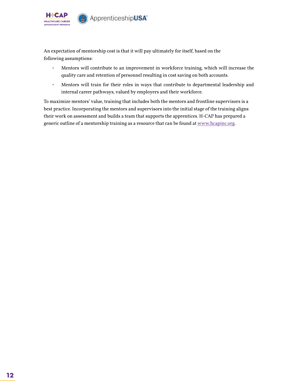

An expectation of mentorship cost is that it will pay ultimately for itself, based on the following assumptions:

- Mentors will contribute to an improvement in workforce training, which will increase the quality care and retention of personnel resulting in cost saving on both accounts.
- Mentors will train for their roles in ways that contribute to departmental leadership and internal career pathways, valued by employers and their workforce.

To maximize mentors' value, training that includes both the mentors and frontline supervisors is a best practice. Incorporating the mentors and supervisors into the initial stage of the training aligns their work on assessment and builds a team that supports the apprentices. H-CAP has prepared a generic outline of a mentorship training as a resource that can be found at [www.hcapinc.org](http://www.hcapinc.org).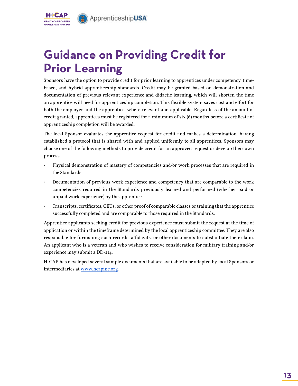

# **Guidance on Providing Credit for Prior Learning**

Sponsors have the option to provide credit for prior learning to apprentices under competency, timebased, and hybrid apprenticeship standards. Credit may be granted based on demonstration and documentation of previous relevant experience and didactic learning, which will shorten the time an apprentice will need for apprenticeship completion. This flexible system saves cost and effort for both the employer and the apprentice, where relevant and applicable. Regardless of the amount of credit granted, apprentices must be registered for a minimum of six (6) months before a certificate of apprenticeship completion will be awarded.

The local Sponsor evaluates the apprentice request for credit and makes a determination, having established a protocol that is shared with and applied uniformly to all apprentices. Sponsors may choose one of the following methods to provide credit for an approved request or develop their own process:

- Physical demonstration of mastery of competencies and/or work processes that are required in the Standards
- Documentation of previous work experience and competency that are comparable to the work competencies required in the Standards previously learned and performed (whether paid or unpaid work experience) by the apprentice
- Transcripts, certificates, CEUs, or other proof of comparable classes or training that the apprentice successfully completed and are comparable to those required in the Standards.

Apprentice applicants seeking credit for previous experience must submit the request at the time of application or within the timeframe determined by the local apprenticeship committee. They are also responsible for furnishing such records, affidavits, or other documents to substantiate their claim. An applicant who is a veteran and who wishes to receive consideration for military training and/or experience may submit a DD-214.

H-CAP has developed several sample documents that are available to be adapted by local Sponsors or intermediaries at [www.hcapinc.org.](http://www.hcapinc.org)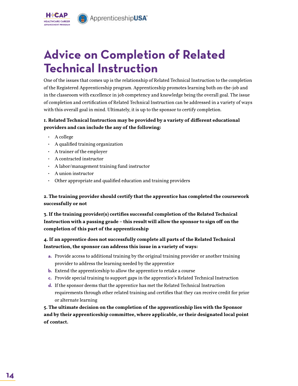

# **Advice on Completion of Related Technical Instruction**

One of the issues that comes up is the relationship of Related Technical Instruction to the completion of the Registered Apprenticeship program. Apprenticeship promotes learning both on-the-job and in the classroom with excellence in job competency and knowledge being the overall goal. The issue of completion and certification of Related Technical Instruction can be addressed in a variety of ways with this overall goal in mind. Ultimately, it is up to the sponsor to certify completion.

#### **1. Related Technical Instruction may be provided by a variety of different educational providers and can include the any of the following:**

- A college
- A qualified training organization
- A trainer of the employer
- A contracted instructor
- A labor/management training fund instructor
- A union instructor
- Other appropriate and qualified education and training providers

#### **2. The training provider should certify that the apprentice has completed the coursework successfully or not**

#### **3. If the training provider(s) certifies successful completion of the Related Technical Instruction with a passing grade – this result will allow the sponsor to sign off on the completion of this part of the apprenticeship**

#### **4. If an apprentice does not successfully complete all parts of the Related Technical Instruction, the sponsor can address this issue in a variety of ways:**

- **a.** Provide access to additional training by the original training provider or another training provider to address the learning needed by the apprentice
- **b.** Extend the apprenticeship to allow the apprentice to retake a course
- **c.** Provide special training to support gaps in the apprentice's Related Technical Instruction
- **d.** If the sponsor deems that the apprentice has met the Related Technical Instruction requirements through other related training and certifies that they can receive credit for prior or alternate learning

**5. The ultimate decision on the completion of the apprenticeship lies with the Sponsor and by their apprenticeship committee, where applicable, or their designated local point of contact.**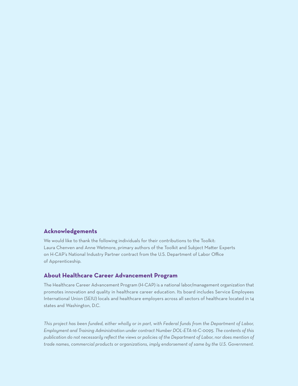#### **Acknowledgements**

We would like to thank the following individuals for their contributions to the Toolkit: Laura Chenven and Anne Wetmore, primary authors of the Toolkit and Subject Matter Experts on H-CAP's National Industry Partner contract from the U.S. Department of Labor Office of Apprenticeship.

#### **About Healthcare Career Advancement Program**

The Healthcare Career Advancement Program (H-CAP) is a national labor/management organization that promotes innovation and quality in healthcare career education. Its board includes Service Employees International Union (SEIU) locals and healthcare employers across all sectors of healthcare located in 14 states and Washington, D.C.

*This project has been funded, either wholly or in part, with Federal funds from the Department of Labor, Employment and Training Administration under contract Number DOL-ETA-16-C-0095. The contents of this publication do not necessarily reflect the views or policies of the Department of Labor, nor does mention of trade names, commercial products or organizations, imply endorsement of same by the U.S. Government.*